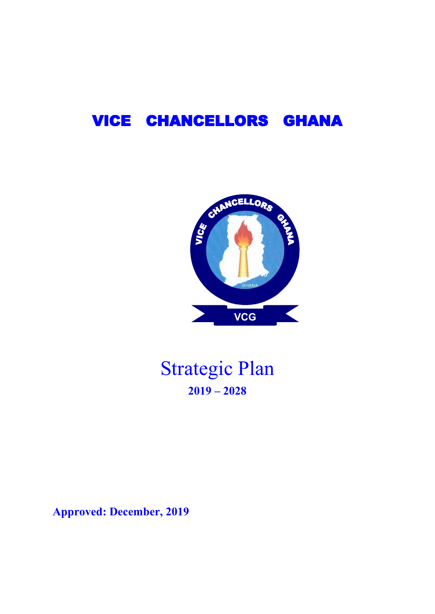# VICE CHANCELLORS GHANA



# Strategic Plan **2019 – 2028**

**Approved: December, 2019**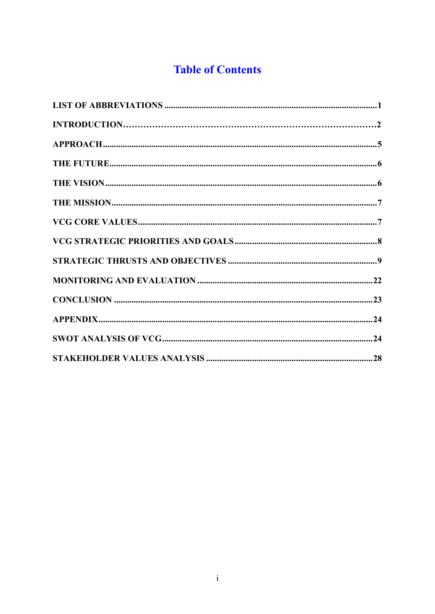# **Table of Contents**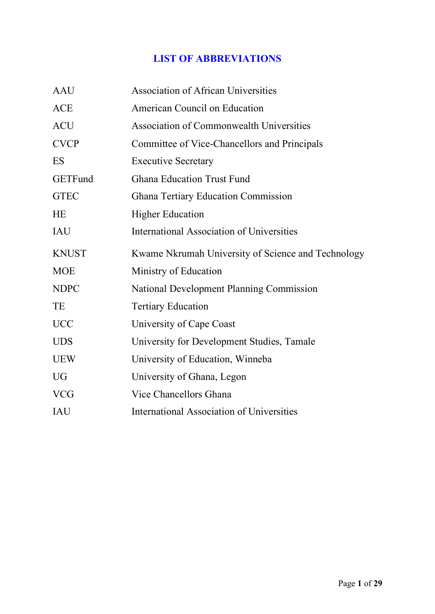# **LIST OF ABBREVIATIONS**

| <b>AAU</b>     | <b>Association of African Universities</b>         |
|----------------|----------------------------------------------------|
| <b>ACE</b>     | American Council on Education                      |
| <b>ACU</b>     | <b>Association of Commonwealth Universities</b>    |
| <b>CVCP</b>    | Committee of Vice-Chancellors and Principals       |
| ES             | <b>Executive Secretary</b>                         |
| <b>GETFund</b> | <b>Ghana Education Trust Fund</b>                  |
| <b>GTEC</b>    | <b>Ghana Tertiary Education Commission</b>         |
| HE             | <b>Higher Education</b>                            |
| <b>IAU</b>     | <b>International Association of Universities</b>   |
| <b>KNUST</b>   | Kwame Nkrumah University of Science and Technology |
| <b>MOE</b>     | Ministry of Education                              |
| <b>NDPC</b>    | <b>National Development Planning Commission</b>    |
| TE             | <b>Tertiary Education</b>                          |
| <b>UCC</b>     | University of Cape Coast                           |
| <b>UDS</b>     | University for Development Studies, Tamale         |
| <b>UEW</b>     | University of Education, Winneba                   |
| <b>UG</b>      | University of Ghana, Legon                         |
| <b>VCG</b>     | Vice Chancellors Ghana                             |
| <b>IAU</b>     | <b>International Association of Universities</b>   |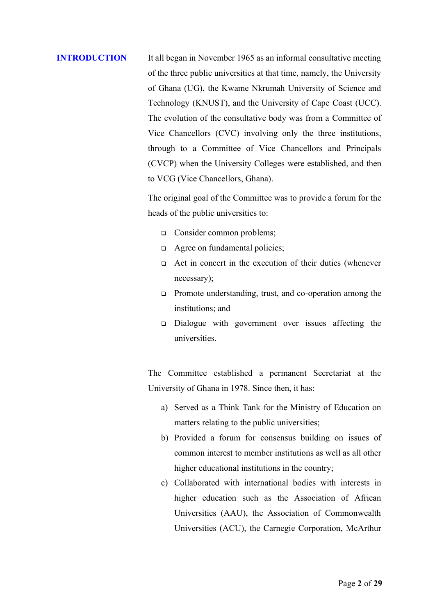# **INTRODUCTION** It all began in November 1965 as an informal consultative meeting of the three public universities at that time, namely, the University of Ghana (UG), the Kwame Nkrumah University of Science and Technology (KNUST), and the University of Cape Coast (UCC). The evolution of the consultative body was from a Committee of Vice Chancellors (CVC) involving only the three institutions, through to a Committee of Vice Chancellors and Principals (CVCP) when the University Colleges were established, and then to VCG (Vice Chancellors, Ghana).

The original goal of the Committee was to provide a forum for the heads of the public universities to:

- ❑ Consider common problems;
- ❑ Agree on fundamental policies;
- ❑ Act in concert in the execution of their duties (whenever necessary);
- ❑ Promote understanding, trust, and co-operation among the institutions; and
- ❑ Dialogue with government over issues affecting the universities.

The Committee established a permanent Secretariat at the University of Ghana in 1978. Since then, it has:

- a) Served as a Think Tank for the Ministry of Education on matters relating to the public universities;
- b) Provided a forum for consensus building on issues of common interest to member institutions as well as all other higher educational institutions in the country;
- c) Collaborated with international bodies with interests in higher education such as the Association of African Universities (AAU), the Association of Commonwealth Universities (ACU), the Carnegie Corporation, McArthur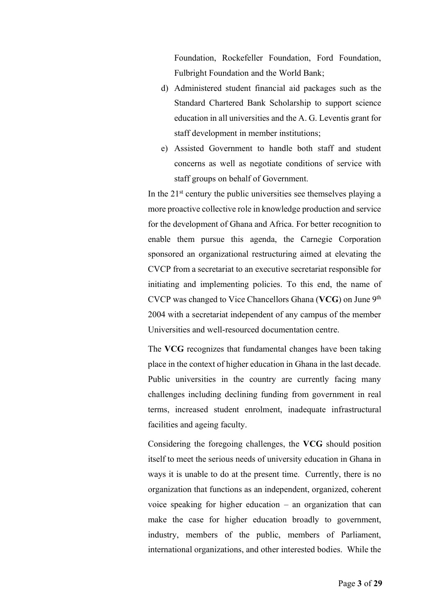Foundation, Rockefeller Foundation, Ford Foundation, Fulbright Foundation and the World Bank;

- d) Administered student financial aid packages such as the Standard Chartered Bank Scholarship to support science education in all universities and the A. G. Leventis grant for staff development in member institutions;
- e) Assisted Government to handle both staff and student concerns as well as negotiate conditions of service with staff groups on behalf of Government.

In the 21<sup>st</sup> century the public universities see themselves playing a more proactive collective role in knowledge production and service for the development of Ghana and Africa. For better recognition to enable them pursue this agenda, the Carnegie Corporation sponsored an organizational restructuring aimed at elevating the CVCP from a secretariat to an executive secretariat responsible for initiating and implementing policies. To this end, the name of CVCP was changed to Vice Chancellors Ghana (**VCG**) on June 9th 2004 with a secretariat independent of any campus of the member Universities and well-resourced documentation centre.

The **VCG** recognizes that fundamental changes have been taking place in the context of higher education in Ghana in the last decade. Public universities in the country are currently facing many challenges including declining funding from government in real terms, increased student enrolment, inadequate infrastructural facilities and ageing faculty.

Considering the foregoing challenges, the **VCG** should position itself to meet the serious needs of university education in Ghana in ways it is unable to do at the present time. Currently, there is no organization that functions as an independent, organized, coherent voice speaking for higher education – an organization that can make the case for higher education broadly to government, industry, members of the public, members of Parliament, international organizations, and other interested bodies. While the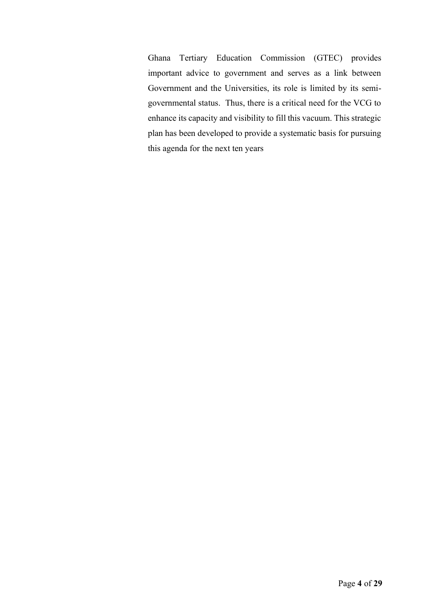Ghana Tertiary Education Commission (GTEC) provides important advice to government and serves as a link between Government and the Universities, its role is limited by its semigovernmental status. Thus, there is a critical need for the VCG to enhance its capacity and visibility to fill this vacuum. This strategic plan has been developed to provide a systematic basis for pursuing this agenda for the next ten years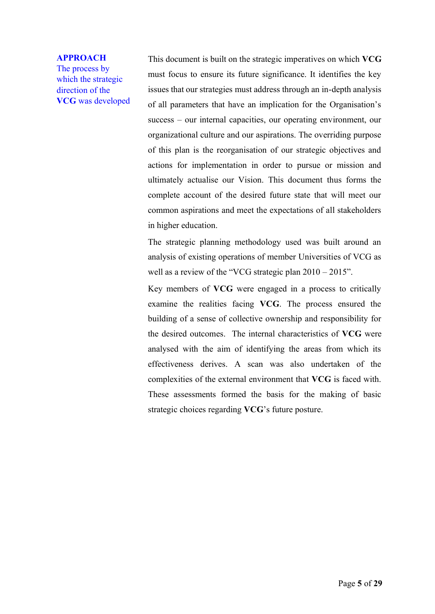#### **APPROACH**

The process by which the strategic direction of the **VCG** was developed This document is built on the strategic imperatives on which **VCG** must focus to ensure its future significance. It identifies the key issues that our strategies must address through an in-depth analysis of all parameters that have an implication for the Organisation's success – our internal capacities, our operating environment, our organizational culture and our aspirations. The overriding purpose of this plan is the reorganisation of our strategic objectives and actions for implementation in order to pursue or mission and ultimately actualise our Vision. This document thus forms the complete account of the desired future state that will meet our common aspirations and meet the expectations of all stakeholders in higher education.

The strategic planning methodology used was built around an analysis of existing operations of member Universities of VCG as well as a review of the "VCG strategic plan  $2010 - 2015$ ".

Key members of **VCG** were engaged in a process to critically examine the realities facing **VCG**. The process ensured the building of a sense of collective ownership and responsibility for the desired outcomes. The internal characteristics of **VCG** were analysed with the aim of identifying the areas from which its effectiveness derives. A scan was also undertaken of the complexities of the external environment that **VCG** is faced with. These assessments formed the basis for the making of basic strategic choices regarding **VCG**'s future posture.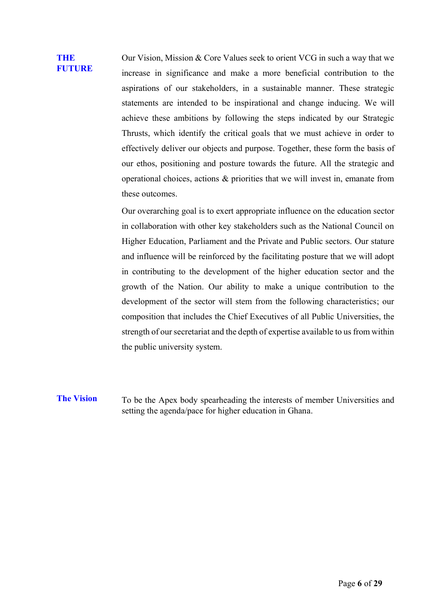#### **THE FUTURE**

Our Vision, Mission & Core Values seek to orient VCG in such a way that we increase in significance and make a more beneficial contribution to the aspirations of our stakeholders, in a sustainable manner. These strategic statements are intended to be inspirational and change inducing. We will achieve these ambitions by following the steps indicated by our Strategic Thrusts, which identify the critical goals that we must achieve in order to effectively deliver our objects and purpose. Together, these form the basis of our ethos, positioning and posture towards the future. All the strategic and operational choices, actions & priorities that we will invest in, emanate from these outcomes.

Our overarching goal is to exert appropriate influence on the education sector in collaboration with other key stakeholders such as the National Council on Higher Education, Parliament and the Private and Public sectors. Our stature and influence will be reinforced by the facilitating posture that we will adopt in contributing to the development of the higher education sector and the growth of the Nation. Our ability to make a unique contribution to the development of the sector will stem from the following characteristics; our composition that includes the Chief Executives of all Public Universities, the strength of our secretariat and the depth of expertise available to us from within the public university system.

**The Vision** To be the Apex body spearheading the interests of member Universities and setting the agenda/pace for higher education in Ghana.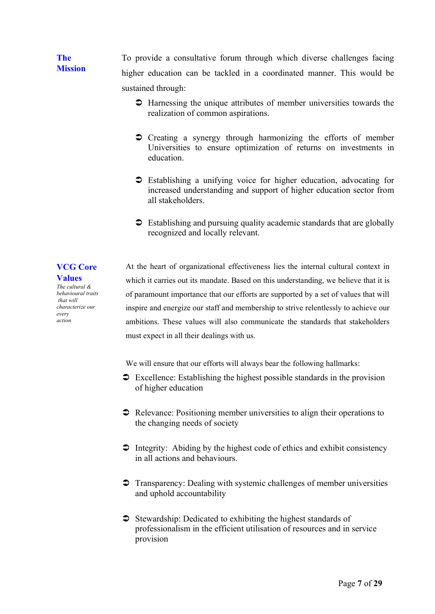**The Mission** To provide a consultative forum through which diverse challenges facing higher education can be tackled in a coordinated manner. This would be sustained through:

- Harnessing the unique attributes of member universities towards the realization of common aspirations.
- Creating a synergy through harmonizing the efforts of member Universities to ensure optimization of returns on investments in education.
- Establishing a unifying voice for higher education, advocating for increased understanding and support of higher education sector from all stakeholders.
- $\supset$  Establishing and pursuing quality academic standards that are globally recognized and locally relevant.

**Values** *The cultural & behavioural traits that will characterize our* 

*every action*

**VCG Core** 

At the heart of organizational effectiveness lies the internal cultural context in which it carries out its mandate. Based on this understanding, we believe that it is of paramount importance that our efforts are supported by a set of values that will inspire and energize our staff and membership to strive relentlessly to achieve our ambitions. These values will also communicate the standards that stakeholders must expect in all their dealings with us.

We will ensure that our efforts will always bear the following hallmarks:

- Excellence: Establishing the highest possible standards in the provision of higher education
- Relevance: Positioning member universities to align their operations to the changing needs of society
- $\supset$  Integrity: Abiding by the highest code of ethics and exhibit consistency in all actions and behaviours.
- Transparency: Dealing with systemic challenges of member universities and uphold accountability
- $\supset$  Stewardship: Dedicated to exhibiting the highest standards of professionalism in the efficient utilisation of resources and in service provision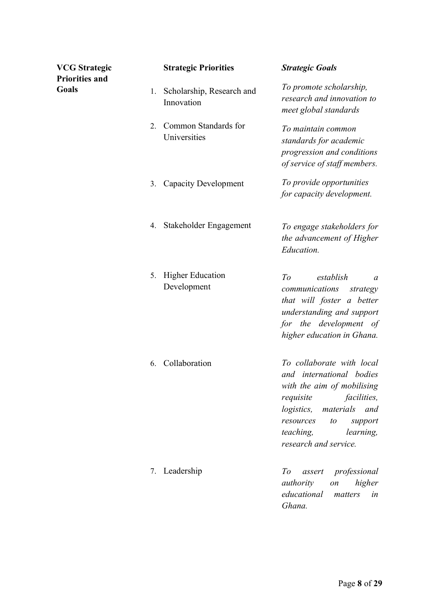| <b>VCG Strategic</b>           |    | <b>Strategic Priorities</b>             | <b>Strategic Goals</b>                                                                                                                                                                                                                    |
|--------------------------------|----|-----------------------------------------|-------------------------------------------------------------------------------------------------------------------------------------------------------------------------------------------------------------------------------------------|
| <b>Priorities and</b><br>Goals | 1. | Scholarship, Research and<br>Innovation | To promote scholarship,<br>research and innovation to<br>meet global standards                                                                                                                                                            |
|                                | 2. | Common Standards for<br>Universities    | To maintain common<br>standards for academic<br>progression and conditions<br>of service of staff members.                                                                                                                                |
|                                | 3. | <b>Capacity Development</b>             | To provide opportunities<br>for capacity development.                                                                                                                                                                                     |
|                                | 4. | Stakeholder Engagement                  | To engage stakeholders for<br>the advancement of Higher<br>Education.                                                                                                                                                                     |
|                                | 5. | <b>Higher Education</b><br>Development  | To<br>establish<br>a<br>communications<br>strategy<br>that will foster a better<br>understanding and support<br>for the development of<br>higher education in Ghana.                                                                      |
|                                | 6. | Collaboration                           | To collaborate with local<br>and international bodies<br>with the aim of mobilising<br>facilities,<br>requisite<br><i>logistics,</i><br>materials<br>and<br>resources<br>to<br>support<br>teaching,<br>learning,<br>research and service. |
|                                | 7. | Leadership                              | professional<br>To<br>assert<br>authority<br>higher<br>on<br>educational<br>matters<br>in<br>Ghana.                                                                                                                                       |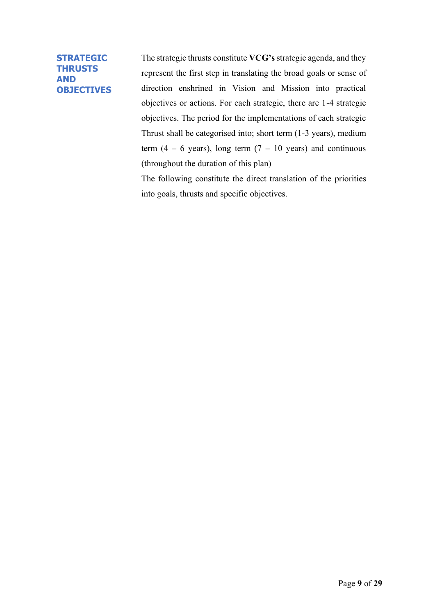#### **STRATEGIC THRUSTS AND OBJECTIVES**

The strategic thrusts constitute **VCG's** strategic agenda, and they represent the first step in translating the broad goals or sense of direction enshrined in Vision and Mission into practical objectives or actions. For each strategic, there are 1-4 strategic objectives. The period for the implementations of each strategic Thrust shall be categorised into; short term (1-3 years), medium term  $(4 - 6$  years), long term  $(7 - 10)$  years) and continuous (throughout the duration of this plan)

The following constitute the direct translation of the priorities into goals, thrusts and specific objectives.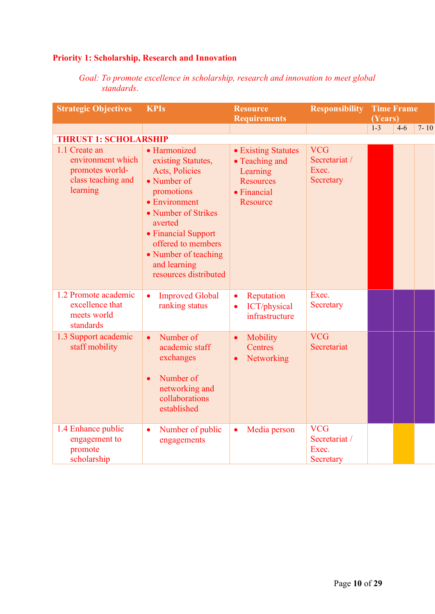## **Priority 1: Scholarship, Research and Innovation**

*Goal: To promote excellence in scholarship, research and innovation to meet global standards*.

| <b>Strategic Objectives</b>                                                             | <b>KPIs</b>                                                                                                                                                                                                                                               | <b>Resource</b><br><b>Requirements</b>                                                           | <b>Responsibility</b>                             |       | <b>Time Frame</b><br>(Years) |          |
|-----------------------------------------------------------------------------------------|-----------------------------------------------------------------------------------------------------------------------------------------------------------------------------------------------------------------------------------------------------------|--------------------------------------------------------------------------------------------------|---------------------------------------------------|-------|------------------------------|----------|
|                                                                                         |                                                                                                                                                                                                                                                           |                                                                                                  |                                                   | $1-3$ | $4-6$                        | $7 - 10$ |
| <b>THRUST 1: SCHOLARSHIP</b>                                                            |                                                                                                                                                                                                                                                           |                                                                                                  |                                                   |       |                              |          |
| 1.1 Create an<br>environment which<br>promotes world-<br>class teaching and<br>learning | • Harmonized<br>existing Statutes,<br><b>Acts, Policies</b><br>• Number of<br>promotions<br>• Environment<br>• Number of Strikes<br>averted<br>• Financial Support<br>offered to members<br>• Number of teaching<br>and learning<br>resources distributed | • Existing Statutes<br>• Teaching and<br>Learning<br><b>Resources</b><br>• Financial<br>Resource | <b>VCG</b><br>Secretariat /<br>Exec.<br>Secretary |       |                              |          |
| 1.2 Promote academic<br>excellence that<br>meets world<br>standards                     | <b>Improved Global</b><br>$\bullet$<br>ranking status                                                                                                                                                                                                     | Reputation<br>$\bullet$<br>ICT/physical<br>$\bullet$<br>infrastructure                           | Exec.<br>Secretary                                |       |                              |          |
| 1.3 Support academic<br>staff mobility                                                  | Number of<br>$\bullet$<br>academic staff<br>exchanges<br>Number of<br>networking and<br>collaborations<br>established                                                                                                                                     | Mobility<br>$\bullet$<br>Centres<br>Networking<br>$\bullet$                                      | <b>VCG</b><br>Secretariat                         |       |                              |          |
| 1.4 Enhance public<br>engagement to<br>promote<br>scholarship                           | Number of public<br>$\bullet$<br>engagements                                                                                                                                                                                                              | Media person<br>$\bullet$                                                                        | <b>VCG</b><br>Secretariat /<br>Exec.<br>Secretary |       |                              |          |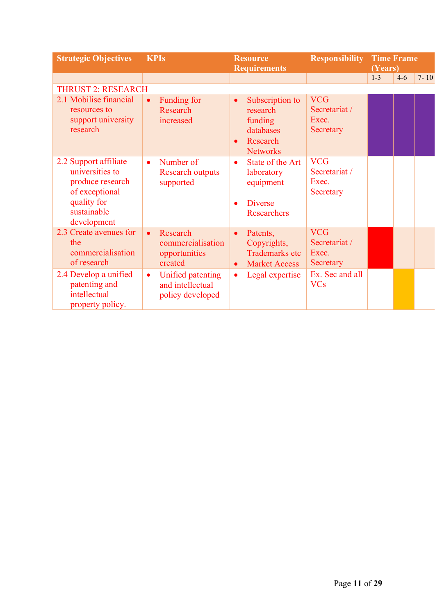| <b>Strategic Objectives</b>                                                                                                 | <b>KPIs</b>                                                            | <b>Resource</b><br><b>Requirements</b>                                                                       | <b>Responsibility</b>                             | <b>Time Frame</b><br>(Years) |       |          |
|-----------------------------------------------------------------------------------------------------------------------------|------------------------------------------------------------------------|--------------------------------------------------------------------------------------------------------------|---------------------------------------------------|------------------------------|-------|----------|
|                                                                                                                             |                                                                        |                                                                                                              |                                                   | $1 - 3$                      | $4-6$ | $7 - 10$ |
| <b>THRUST 2: RESEARCH</b>                                                                                                   |                                                                        |                                                                                                              |                                                   |                              |       |          |
| 2.1 Mobilise financial<br>resources to<br>support university<br>research                                                    | Funding for<br>Research<br>increased                                   | Subscription to<br>$\bullet$<br>research<br>funding<br>databases<br>Research<br>$\bullet$<br><b>Networks</b> | <b>VCG</b><br>Secretariat /<br>Exec.<br>Secretary |                              |       |          |
| 2.2 Support affiliate<br>universities to<br>produce research<br>of exceptional<br>quality for<br>sustainable<br>development | Number of<br>$\bullet$<br><b>Research outputs</b><br>supported         | State of the Art<br>$\bullet$<br>laboratory<br>equipment<br><b>Diverse</b><br><b>Researchers</b>             | <b>VCG</b><br>Secretariat /<br>Exec.<br>Secretary |                              |       |          |
| 2.3 Create avenues for<br>the<br>commercialisation<br>of research                                                           | Research<br>$\bullet$<br>commercialisation<br>opportunities<br>created | Patents,<br>$\bullet$<br>Copyrights,<br><b>Trademarks etc</b><br><b>Market Access</b><br>$\bullet$           | <b>VCG</b><br>Secretariat /<br>Exec.<br>Secretary |                              |       |          |
| 2.4 Develop a unified<br>patenting and<br>intellectual<br>property policy.                                                  | Unified patenting<br>$\bullet$<br>and intellectual<br>policy developed | Legal expertise<br>$\bullet$                                                                                 | Ex. Sec and all<br><b>VCs</b>                     |                              |       |          |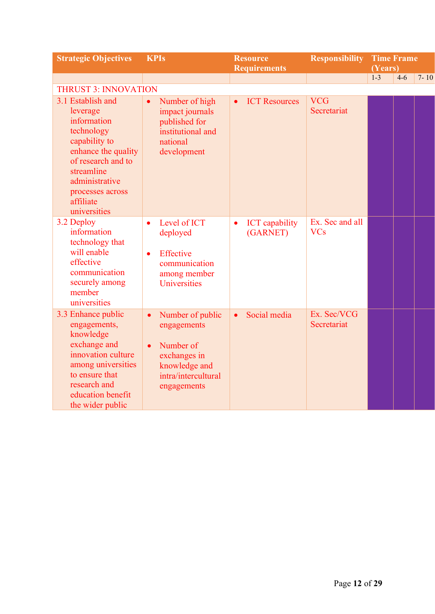| <b>Strategic Objectives</b>                                                                                                                                                                               | <b>KPIs</b>                                                                                                                                   | <b>Resource</b><br><b>Requirements</b>         | <b>Responsibility</b>         | <b>Time Frame</b><br>(Years) |       |          |
|-----------------------------------------------------------------------------------------------------------------------------------------------------------------------------------------------------------|-----------------------------------------------------------------------------------------------------------------------------------------------|------------------------------------------------|-------------------------------|------------------------------|-------|----------|
|                                                                                                                                                                                                           |                                                                                                                                               |                                                |                               | $1 - 3$                      | $4-6$ | $7 - 10$ |
| <b>THRUST 3: INNOVATION</b>                                                                                                                                                                               |                                                                                                                                               |                                                |                               |                              |       |          |
| 3.1 Establish and<br>leverage<br>information<br>technology<br>capability to<br>enhance the quality<br>of research and to<br>streamline<br>administrative<br>processes across<br>affiliate<br>universities | Number of high<br>impact journals<br>published for<br>institutional and<br>national<br>development                                            | <b>ICT Resources</b><br>$\bullet$              | <b>VCG</b><br>Secretariat     |                              |       |          |
| 3.2 Deploy<br>information<br>technology that<br>will enable<br>effective<br>communication<br>securely among<br>member<br>universities                                                                     | Level of ICT<br>$\bullet$<br>deployed<br>Effective<br>$\bullet$<br>communication<br>among member<br>Universities                              | <b>ICT</b> capability<br>$\bullet$<br>(GARNET) | Ex. Sec and all<br><b>VCs</b> |                              |       |          |
| 3.3 Enhance public<br>engagements,<br>knowledge<br>exchange and<br>innovation culture<br>among universities<br>to ensure that<br>research and<br>education benefit<br>the wider public                    | Number of public<br>$\bullet$<br>engagements<br>Number of<br>$\bullet$<br>exchanges in<br>knowledge and<br>intra/intercultural<br>engagements | Social media<br>$\bullet$                      | Ex. Sec/VCG<br>Secretariat    |                              |       |          |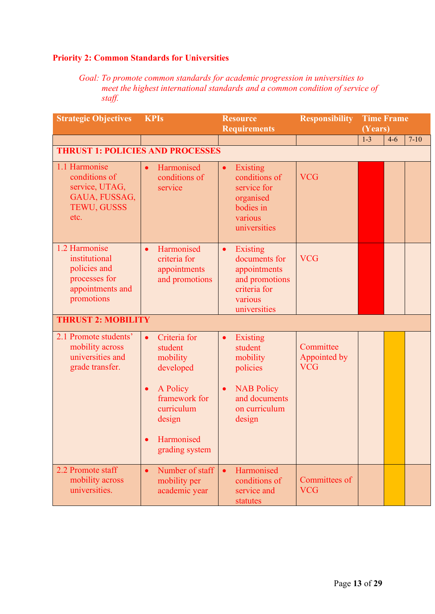### **Priority 2: Common Standards for Universities**

*Goal: To promote common standards for academic progression in universities to meet the highest international standards and a common condition of service of staff.*

| <b>Strategic Objectives</b>                                                                       | <b>KPIs</b>                                                                                                                                                     | <b>Resource</b><br><b>Requirements</b>                                                                                                 | <b>Responsibility</b>                   | <b>Time Frame</b><br>(Years) |          |
|---------------------------------------------------------------------------------------------------|-----------------------------------------------------------------------------------------------------------------------------------------------------------------|----------------------------------------------------------------------------------------------------------------------------------------|-----------------------------------------|------------------------------|----------|
|                                                                                                   |                                                                                                                                                                 |                                                                                                                                        |                                         | $1 - 3$<br>$4-6$             | $7 - 10$ |
| <b>THRUST 1: POLICIES AND PROCESSES</b>                                                           |                                                                                                                                                                 |                                                                                                                                        |                                         |                              |          |
| 1.1 Harmonise<br>conditions of<br>service, UTAG,<br>GAUA, FUSSAG,<br>TEWU, GUSSS<br>etc.          | Harmonised<br>$\bullet$<br>conditions of<br>service                                                                                                             | <b>Existing</b><br>$\bullet$<br>conditions of<br>service for<br>organised<br>bodies in<br>various<br>universities                      | <b>VCG</b>                              |                              |          |
| 1.2 Harmonise<br>institutional<br>policies and<br>processes for<br>appointments and<br>promotions | Harmonised<br>$\bullet$<br>criteria for<br>appointments<br>and promotions                                                                                       | <b>Existing</b><br>$\bullet$<br>documents for<br>appointments<br>and promotions<br>criteria for<br>various<br>universities             | <b>VCG</b>                              |                              |          |
| <b>THRUST 2: MOBILITY</b>                                                                         |                                                                                                                                                                 |                                                                                                                                        |                                         |                              |          |
| 2.1 Promote students'<br>mobility across<br>universities and<br>grade transfer.                   | Criteria for<br>$\bullet$<br>student<br>mobility<br>developed<br>A Policy<br>$\bullet$<br>framework for<br>curriculum<br>design<br>Harmonised<br>grading system | Existing<br>$\bullet$<br>student<br>mobility<br>policies<br><b>NAB Policy</b><br>$\bullet$<br>and documents<br>on curriculum<br>design | Committee<br>Appointed by<br><b>VCG</b> |                              |          |
| 2.2 Promote staff<br>mobility across<br>universities.                                             | Number of staff<br>$\bullet$<br>mobility per<br>academic year                                                                                                   | Harmonised<br>$\bullet$<br>conditions of<br>service and<br>statutes                                                                    | Committees of<br><b>VCG</b>             |                              |          |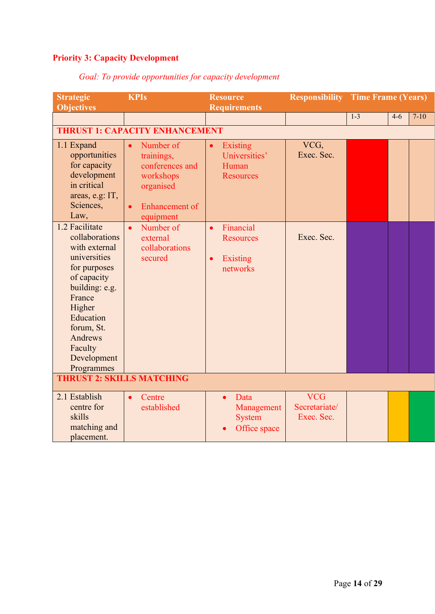# **Priority 3: Capacity Development**

| <b>Strategic</b><br><b>Objectives</b>                                                                                                                                            | <b>KPIs</b>                                                                                                                                                                | <b>Resource</b><br><b>Requirements</b>                                                                            | <b>Responsibility</b> Time Frame (Years)  |         |         |        |
|----------------------------------------------------------------------------------------------------------------------------------------------------------------------------------|----------------------------------------------------------------------------------------------------------------------------------------------------------------------------|-------------------------------------------------------------------------------------------------------------------|-------------------------------------------|---------|---------|--------|
|                                                                                                                                                                                  |                                                                                                                                                                            |                                                                                                                   |                                           | $1 - 3$ | $4 - 6$ | $7-10$ |
|                                                                                                                                                                                  | <b>THRUST 1: CAPACITY ENHANCEMENT</b>                                                                                                                                      |                                                                                                                   |                                           |         |         |        |
| 1.1 Expand<br>opportunities<br>for capacity<br>development<br>in critical<br>areas, e.g: IT,<br>Sciences,<br>Law,<br>1.2 Facilitate<br>collaborations                            | Number of<br>$\bullet$<br>trainings,<br>conferences and<br>workshops<br>organised<br><b>Enhancement</b> of<br>$\bullet$<br>equipment<br>Number of<br>$\bullet$<br>external | Existing<br>$\bullet$<br>Universities'<br>Human<br><b>Resources</b><br>Financial<br>$\bullet$<br><b>Resources</b> | VCG,<br>Exec. Sec.<br>Exec. Sec.          |         |         |        |
| with external<br>universities<br>for purposes<br>of capacity<br>building: e.g.<br>France<br>Higher<br>Education<br>forum, St.<br>Andrews<br>Faculty<br>Development<br>Programmes | collaborations<br>secured                                                                                                                                                  | Existing<br>$\bullet$<br>networks                                                                                 |                                           |         |         |        |
| <b>THRUST 2: SKILLS MATCHING</b>                                                                                                                                                 |                                                                                                                                                                            |                                                                                                                   |                                           |         |         |        |
| 2.1 Establish<br>centre for<br>skills<br>matching and<br>placement.                                                                                                              | Centre<br>established                                                                                                                                                      | Data<br>$\bullet$<br>Management<br><b>System</b><br>Office space                                                  | <b>VCG</b><br>Secretariate/<br>Exec. Sec. |         |         |        |

## *Goal: To provide opportunities for capacity development*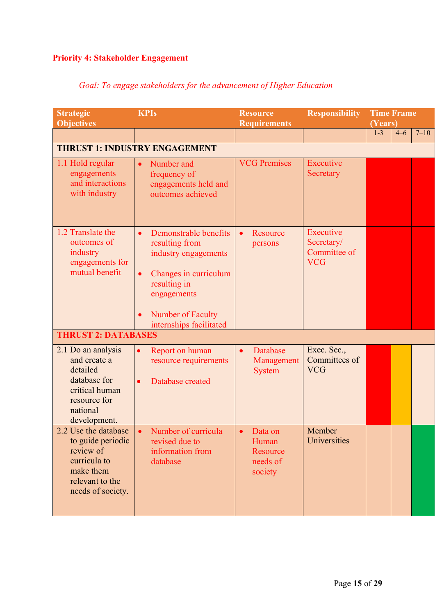# **Priority 4: Stakeholder Engagement**

| <b>Strategic</b><br><b>Objectives</b>                                                                                        | <b>KPIs</b>                                                                                                                                                                                                    | <b>Resource</b><br><b>Requirements</b>                        | <b>Responsibility</b>                                 | <b>Time Frame</b><br>(Years) |         |          |
|------------------------------------------------------------------------------------------------------------------------------|----------------------------------------------------------------------------------------------------------------------------------------------------------------------------------------------------------------|---------------------------------------------------------------|-------------------------------------------------------|------------------------------|---------|----------|
|                                                                                                                              |                                                                                                                                                                                                                |                                                               |                                                       | $1 - 3$                      | $4 - 6$ | $7 - 10$ |
|                                                                                                                              | <b>THRUST 1: INDUSTRY ENGAGEMENT</b>                                                                                                                                                                           |                                                               |                                                       |                              |         |          |
| 1.1 Hold regular<br>engagements<br>and interactions<br>with industry                                                         | Number and<br>frequency of<br>engagements held and<br>outcomes achieved                                                                                                                                        | <b>VCG Premises</b>                                           | Executive<br>Secretary                                |                              |         |          |
| 1.2 Translate the<br>outcomes of<br>industry<br>engagements for<br>mutual benefit<br><b>THRUST 2: DATABASES</b>              | Demonstrable benefits<br>$\bullet$<br>resulting from<br>industry engagements<br>Changes in curriculum<br>$\bullet$<br>resulting in<br>engagements<br>Number of Faculty<br>$\bullet$<br>internships facilitated | Resource<br>$\bullet$<br>persons                              | Executive<br>Secretary/<br>Committee of<br><b>VCG</b> |                              |         |          |
|                                                                                                                              |                                                                                                                                                                                                                |                                                               |                                                       |                              |         |          |
| 2.1 Do an analysis<br>and create a<br>detailed<br>database for<br>critical human<br>resource for<br>national<br>development. | Report on human<br>$\bullet$<br>resource requirements<br>Database created<br>$\bullet$                                                                                                                         | Database<br>$\bullet$<br>Management<br><b>System</b>          | Exec. Sec.,<br>Committees of<br><b>VCG</b>            |                              |         |          |
| 2.2 Use the database<br>to guide periodic<br>review of<br>curricula to<br>make them<br>relevant to the<br>needs of society.  | • Number of curricula<br>revised due to<br>information from<br>database                                                                                                                                        | $\bullet$ Data on<br>Human<br>Resource<br>needs of<br>society | Member<br>Universities                                |                              |         |          |

## *Goal: To engage stakeholders for the advancement of Higher Education*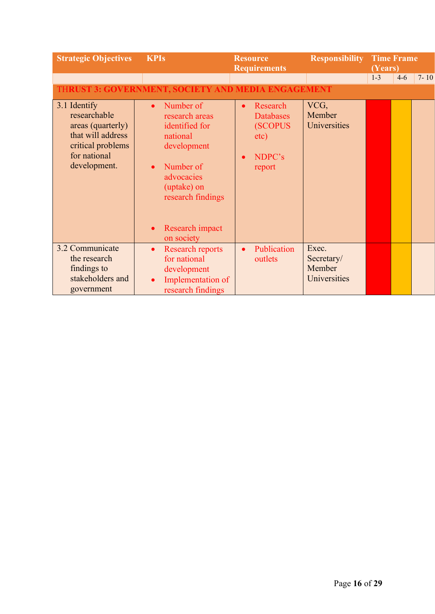| <b>Strategic Objectives</b>                                                                                                 | <b>KPIs</b>                                                                                                                                                                                                     | <b>Resource</b><br><b>Requirements</b>                                                  | <b>Responsibility</b>                         | <b>Time Frame</b><br>(Years) |       |          |
|-----------------------------------------------------------------------------------------------------------------------------|-----------------------------------------------------------------------------------------------------------------------------------------------------------------------------------------------------------------|-----------------------------------------------------------------------------------------|-----------------------------------------------|------------------------------|-------|----------|
|                                                                                                                             |                                                                                                                                                                                                                 |                                                                                         |                                               | $1 - 3$                      | $4-6$ | $7 - 10$ |
|                                                                                                                             | <b>THRUST 3: GOVERNMENT, SOCIETY AND MEDIA ENGAGEMENT</b>                                                                                                                                                       |                                                                                         |                                               |                              |       |          |
| 3.1 Identify<br>researchable<br>areas (quarterly)<br>that will address<br>critical problems<br>for national<br>development. | Number of<br>$\bullet$<br>research areas<br>identified for<br>national<br>development<br>Number of<br>$\bullet$<br>advocacies<br>(uptake) on<br>research findings<br>Research impact<br>$\bullet$<br>on society | Research<br>$\bullet$<br><b>Databases</b><br><b>(SCOPUS</b><br>etc)<br>NDPC's<br>report | VCG,<br>Member<br>Universities                |                              |       |          |
| 3.2 Communicate<br>the research<br>findings to<br>stakeholders and<br>government                                            | <b>Research reports</b><br>$\bullet$<br>for national<br>development<br>Implementation of<br>$\bullet$<br>research findings                                                                                      | Publication<br>$\bullet$<br>outlets                                                     | Exec.<br>Secretary/<br>Member<br>Universities |                              |       |          |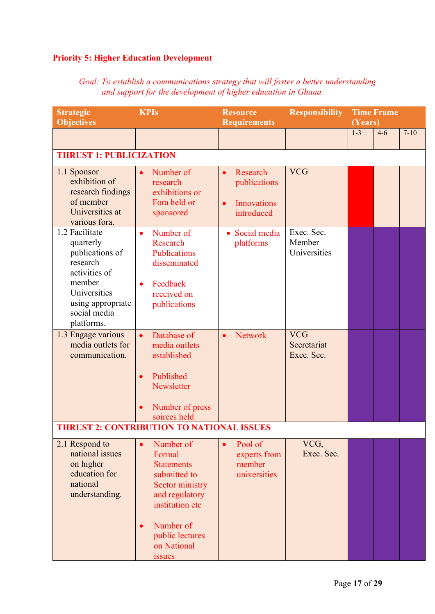### **Priority 5: Higher Education Development**

| <b>Strategic</b><br><b>Objectives</b>                                                                                                                    | <b>KPIs</b>                                                                                                                                                               | <b>Resource</b><br><b>Requirements</b>                                                 | <b>Responsibility</b>                   | (Years) | <b>Time Frame</b> |          |
|----------------------------------------------------------------------------------------------------------------------------------------------------------|---------------------------------------------------------------------------------------------------------------------------------------------------------------------------|----------------------------------------------------------------------------------------|-----------------------------------------|---------|-------------------|----------|
|                                                                                                                                                          |                                                                                                                                                                           |                                                                                        |                                         | $1-3$   | $4 - 6$           | $7 - 10$ |
| <b>THRUST 1: PUBLICIZATION</b>                                                                                                                           |                                                                                                                                                                           |                                                                                        |                                         |         |                   |          |
| 1.1 Sponsor<br>exhibition of<br>research findings<br>of member<br>Universities at<br>various fora.                                                       | Number of<br>research<br>exhibitions or<br>Fora held or<br>sponsored                                                                                                      | Research<br>$\bullet$<br>publications<br><b>Innovations</b><br>$\bullet$<br>introduced | <b>VCG</b>                              |         |                   |          |
| 1.2 Facilitate<br>quarterly<br>publications of<br>research<br>activities of<br>member<br>Universities<br>using appropriate<br>social media<br>platforms. | Number of<br>$\bullet$<br>Research<br><b>Publications</b><br>disseminated<br>Feedback<br>$\bullet$<br>received on<br>publications                                         | • Social media<br>platforms                                                            | Exec. Sec.<br>Member<br>Universities    |         |                   |          |
| 1.3 Engage various<br>media outlets for<br>communication.                                                                                                | Database of<br>$\bullet$<br>media outlets<br>established<br>Published<br>$\bullet$<br>Newsletter<br>Number of press<br>$\bullet$<br>soirees held                          | <b>Network</b><br>$\bullet$                                                            | <b>VCG</b><br>Secretariat<br>Exec. Sec. |         |                   |          |
|                                                                                                                                                          | THRUST 2: CONTRIBUTION TO NATIONAL ISSUES                                                                                                                                 |                                                                                        |                                         |         |                   |          |
| 2.1 Respond to<br>national issues<br>on higher<br>education for<br>national<br>understanding.                                                            | Number of<br>Formal<br><b>Statements</b><br>submitted to<br>Sector ministry<br>and regulatory<br>institution etc<br>Number of<br>public lectures<br>on National<br>issues | Pool of<br>$\bullet$<br>experts from<br>member<br>universities                         | VCG,<br>Exec. Sec.                      |         |                   |          |

*Goal: To establish a communications strategy that will foster a better understanding and support for the development of higher education in Ghana*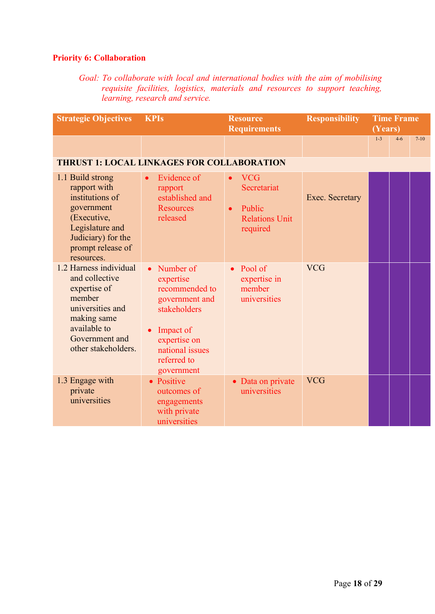#### **Priority 6: Collaboration**

*Goal: To collaborate with local and international bodies with the aim of mobilising requisite facilities, logistics, materials and resources to support teaching, learning, research and service.*

| <b>Strategic Objectives</b>                                                                                                                                    | <b>KPIs</b>                                                                                                                                                          | <b>Resource</b><br><b>Requirements</b>                                                | <b>Responsibility</b> | <b>Time Frame</b><br>(Years) |         |        |
|----------------------------------------------------------------------------------------------------------------------------------------------------------------|----------------------------------------------------------------------------------------------------------------------------------------------------------------------|---------------------------------------------------------------------------------------|-----------------------|------------------------------|---------|--------|
|                                                                                                                                                                |                                                                                                                                                                      |                                                                                       |                       | $1 - 3$                      | $4 - 6$ | $7-10$ |
| <b>THRUST 1: LOCAL LINKAGES FOR COLLABORATION</b>                                                                                                              |                                                                                                                                                                      |                                                                                       |                       |                              |         |        |
| 1.1 Build strong<br>rapport with<br>institutions of<br>government<br>(Executive,<br>Legislature and<br>Judiciary) for the<br>prompt release of<br>resources.   | Evidence of<br>rapport<br>established and<br><b>Resources</b><br>released                                                                                            | <b>VCG</b><br>Secretariat<br>Public<br>$\bullet$<br><b>Relations Unit</b><br>required | Exec. Secretary       |                              |         |        |
| 1.2 Harness individual<br>and collective<br>expertise of<br>member<br>universities and<br>making same<br>available to<br>Government and<br>other stakeholders. | Number of<br>$\bullet$<br>expertise<br>recommended to<br>government and<br>stakeholders<br>Impact of<br>expertise on<br>national issues<br>referred to<br>government | $\bullet$ Pool of<br>expertise in<br>member<br>universities                           | <b>VCG</b>            |                              |         |        |
| 1.3 Engage with<br>private<br>universities                                                                                                                     | • Positive<br>outcomes of<br>engagements<br>with private<br>universities                                                                                             | • Data on private<br>universities                                                     | <b>VCG</b>            |                              |         |        |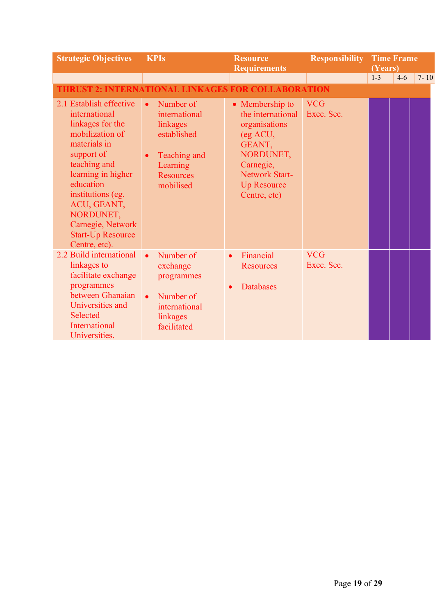| <b>Strategic Objectives</b>                                                                                                                                                                                                                                                         | <b>KPIs</b>                                                                                                                                  | <b>Resource</b><br><b>Requirements</b>                                                                                                                               | <b>Responsibility</b>    | (Years) | <b>Time Frame</b> |          |
|-------------------------------------------------------------------------------------------------------------------------------------------------------------------------------------------------------------------------------------------------------------------------------------|----------------------------------------------------------------------------------------------------------------------------------------------|----------------------------------------------------------------------------------------------------------------------------------------------------------------------|--------------------------|---------|-------------------|----------|
|                                                                                                                                                                                                                                                                                     |                                                                                                                                              |                                                                                                                                                                      |                          | $1 - 3$ | $4-6$             | $7 - 10$ |
| <b>THRUST 2: INTERNATIONAL LINKAGES FOR COLLABORATION</b>                                                                                                                                                                                                                           |                                                                                                                                              |                                                                                                                                                                      |                          |         |                   |          |
| 2.1 Establish effective<br>international<br>linkages for the<br>mobilization of<br>materials in<br>support of<br>teaching and<br>learning in higher<br>education<br>institutions (eg.<br>ACU, GEANT,<br>NORDUNET,<br>Carnegie, Network<br><b>Start-Up Resource</b><br>Centre, etc). | Number of<br>$\bullet$<br>international<br>linkages<br>established<br>Teaching and<br>$\bullet$<br>Learning<br><b>Resources</b><br>mobilised | • Membership to<br>the international<br>organisations<br>(eg ACU,<br>GEANT,<br>NORDUNET,<br>Carnegie,<br><b>Network Start-</b><br><b>Up Resource</b><br>Centre, etc) | <b>VCG</b><br>Exec. Sec. |         |                   |          |
| 2.2 Build international<br>linkages to<br>facilitate exchange<br>programmes<br>between Ghanaian<br>Universities and<br>Selected<br>International<br>Universities.                                                                                                                   | Number of<br>$\bullet$<br>exchange<br>programmes<br>Number of<br>$\bullet$<br>international<br>linkages<br>facilitated                       | Financial<br>$\bullet$<br><b>Resources</b><br><b>Databases</b>                                                                                                       | <b>VCG</b><br>Exec. Sec. |         |                   |          |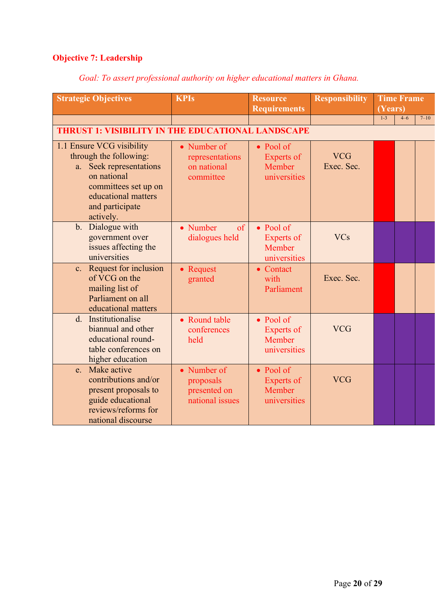# **Objective 7: Leadership**

## *Goal: To assert professional authority on higher educational matters in Ghana.*

| <b>Strategic Objectives</b>                                                                                                                                                  | <b>KPIs</b>                                                 | <b>Resource</b><br><b>Requirements</b>                           | <b>Responsibility</b>    | <b>Time Frame</b><br>(Years) |         |          |
|------------------------------------------------------------------------------------------------------------------------------------------------------------------------------|-------------------------------------------------------------|------------------------------------------------------------------|--------------------------|------------------------------|---------|----------|
|                                                                                                                                                                              |                                                             |                                                                  |                          | $1-3$                        | $4 - 6$ | $7 - 10$ |
| <b>THRUST 1: VISIBILITY IN THE EDUCATIONAL LANDSCAPE</b>                                                                                                                     |                                                             |                                                                  |                          |                              |         |          |
| 1.1 Ensure VCG visibility<br>through the following:<br>a. Seek representations<br>on national<br>committees set up on<br>educational matters<br>and participate<br>actively. | • Number of<br>representations<br>on national<br>committee  | $\bullet$ Pool of<br><b>Experts of</b><br>Member<br>universities | <b>VCG</b><br>Exec. Sec. |                              |         |          |
| b. Dialogue with<br>government over<br>issues affecting the<br>universities                                                                                                  | • Number<br>$\sigma$<br>dialogues held                      | • Pool of<br><b>Experts of</b><br>Member<br>universities         | <b>VCs</b>               |                              |         |          |
| c. Request for inclusion<br>of VCG on the<br>mailing list of<br>Parliament on all<br>educational matters                                                                     | • Request<br>granted                                        | • Contact<br>with<br>Parliament                                  | Exec. Sec.               |                              |         |          |
| d. Institutionalise<br>biannual and other<br>educational round-<br>table conferences on<br>higher education                                                                  | • Round table<br>conferences<br>held                        | $\bullet$ Pool of<br><b>Experts of</b><br>Member<br>universities | <b>VCG</b>               |                              |         |          |
| Make active<br>$e_{-}$<br>contributions and/or<br>present proposals to<br>guide educational<br>reviews/reforms for<br>national discourse                                     | • Number of<br>proposals<br>presented on<br>national issues | • Pool of<br><b>Experts of</b><br>Member<br>universities         | <b>VCG</b>               |                              |         |          |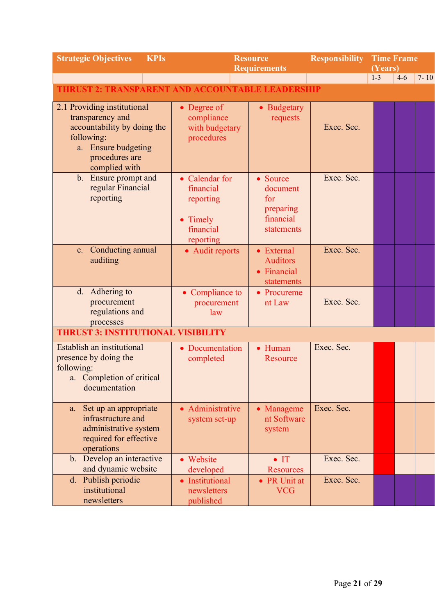| <b>Strategic Objectives</b><br><b>KPIs</b>                                                                                                             | <b>Resource</b><br><b>Requirements</b>                                         |                                                                     | <b>Responsibility</b> | <b>Time Frame</b><br>(Years) |         |          |
|--------------------------------------------------------------------------------------------------------------------------------------------------------|--------------------------------------------------------------------------------|---------------------------------------------------------------------|-----------------------|------------------------------|---------|----------|
|                                                                                                                                                        |                                                                                |                                                                     |                       | $1-3$                        | $4 - 6$ | $7 - 10$ |
| <b>THRUST 2: TRANSPARENT AND ACCOUNTABLE LEADERSHIP</b>                                                                                                |                                                                                |                                                                     |                       |                              |         |          |
| 2.1 Providing institutional<br>transparency and<br>accountability by doing the<br>following:<br>a. Ensure budgeting<br>procedures are<br>complied with | • Degree of<br>compliance<br>with budgetary<br>procedures                      | • Budgetary<br>requests                                             | Exec. Sec.            |                              |         |          |
| b. Ensure prompt and<br>regular Financial<br>reporting                                                                                                 | • Calendar for<br>financial<br>reporting<br>• Timely<br>financial<br>reporting | • Source<br>document<br>for<br>preparing<br>financial<br>statements | Exec. Sec.            |                              |         |          |
| c. Conducting annual<br>auditing                                                                                                                       | • Audit reports                                                                | • External<br><b>Auditors</b><br>• Financial<br>statements          | Exec. Sec.            |                              |         |          |
| d. Adhering to<br>procurement<br>regulations and<br>processes                                                                                          | • Compliance to<br>procurement<br>law                                          | • Procureme<br>nt Law                                               | Exec. Sec.            |                              |         |          |
| <b>THRUST 3: INSTITUTIONAL VISIBILITY</b>                                                                                                              |                                                                                |                                                                     |                       |                              |         |          |
| Establish an institutional<br>presence by doing the<br>following:<br>a. Completion of critical<br>documentation                                        | • Documentation<br>completed                                                   | • Human<br>Resource                                                 | Exec. Sec.            |                              |         |          |
| Set up an appropriate<br>a.<br>infrastructure and<br>administrative system<br>required for effective<br>operations                                     | • Administrative<br>system set-up                                              | • Manageme<br>nt Software<br>system                                 | Exec. Sec.            |                              |         |          |
| b. Develop an interactive<br>and dynamic website                                                                                                       | • Website<br>developed                                                         | $\bullet$ IT<br><b>Resources</b>                                    | Exec. Sec.            |                              |         |          |
| d. Publish periodic<br>institutional<br>newsletters                                                                                                    | • Institutional<br>newsletters<br>published                                    | • PR Unit at<br><b>VCG</b>                                          | Exec. Sec.            |                              |         |          |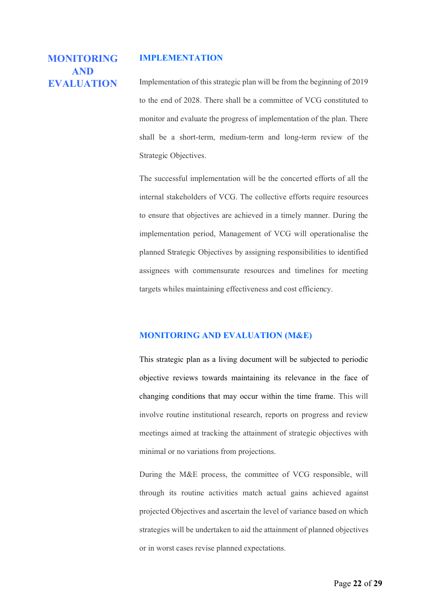#### **IMPLEMENTATION**

## **MONITORING AND EVALUATION**

Implementation of this strategic plan will be from the beginning of 2019 to the end of 2028. There shall be a committee of VCG constituted to monitor and evaluate the progress of implementation of the plan. There shall be a short-term, medium-term and long-term review of the Strategic Objectives.

The successful implementation will be the concerted efforts of all the internal stakeholders of VCG. The collective efforts require resources to ensure that objectives are achieved in a timely manner. During the implementation period, Management of VCG will operationalise the planned Strategic Objectives by assigning responsibilities to identified assignees with commensurate resources and timelines for meeting targets whiles maintaining effectiveness and cost efficiency.

#### **MONITORING AND EVALUATION (M&E)**

This strategic plan as a living document will be subjected to periodic objective reviews towards maintaining its relevance in the face of changing conditions that may occur within the time frame. This will involve routine institutional research, reports on progress and review meetings aimed at tracking the attainment of strategic objectives with minimal or no variations from projections.

During the M&E process, the committee of VCG responsible, will through its routine activities match actual gains achieved against projected Objectives and ascertain the level of variance based on which strategies will be undertaken to aid the attainment of planned objectives or in worst cases revise planned expectations.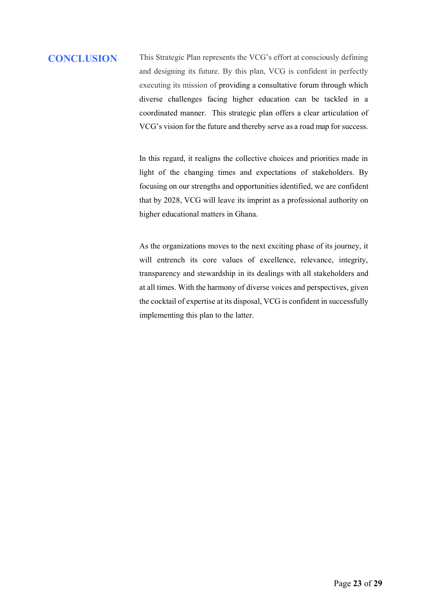# **CONCLUSION** This Strategic Plan represents the VCG's effort at consciously defining and designing its future. By this plan, VCG is confident in perfectly executing its mission of providing a consultative forum through which diverse challenges facing higher education can be tackled in a coordinated manner. This strategic plan offers a clear articulation of VCG's vision for the future and thereby serve as a road map for success.

In this regard, it realigns the collective choices and priorities made in light of the changing times and expectations of stakeholders. By focusing on our strengths and opportunities identified, we are confident that by 2028, VCG will leave its imprint as a professional authority on higher educational matters in Ghana.

As the organizations moves to the next exciting phase of its journey, it will entrench its core values of excellence, relevance, integrity, transparency and stewardship in its dealings with all stakeholders and at all times. With the harmony of diverse voices and perspectives, given the cocktail of expertise at its disposal, VCG is confident in successfully implementing this plan to the latter.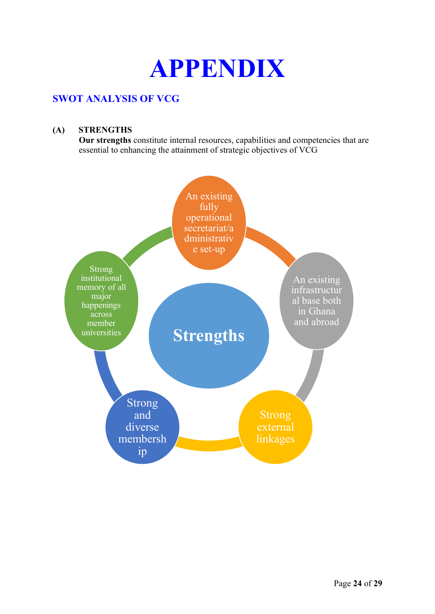

## **SWOT ANALYSIS OF VCG**

#### **(A) STRENGTHS**

**Our strengths** constitute internal resources, capabilities and competencies that are essential to enhancing the attainment of strategic objectives of VCG

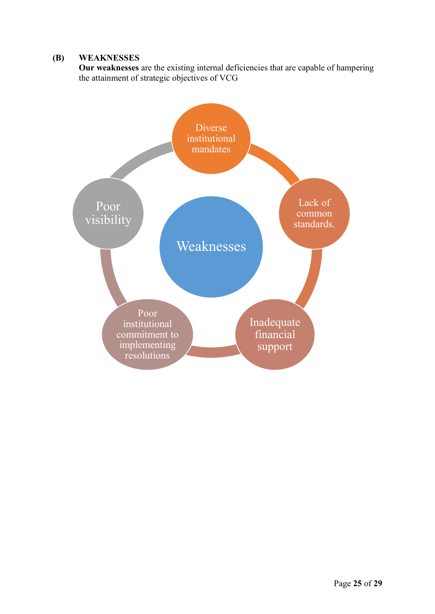#### **(B) WEAKNESSES**

**Our weaknesses** are the existing internal deficiencies that are capable of hampering the attainment of strategic objectives of VCG

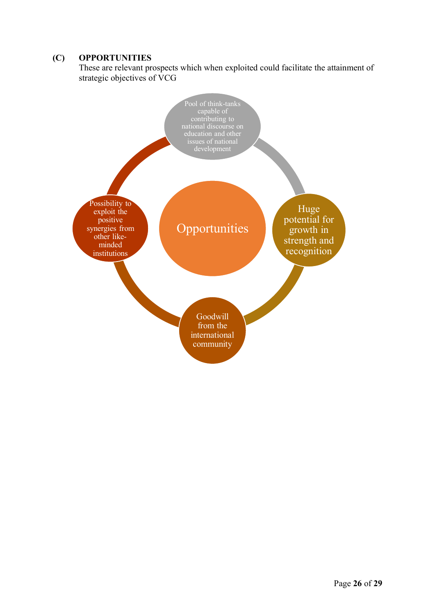#### **(C) OPPORTUNITIES**

These are relevant prospects which when exploited could facilitate the attainment of strategic objectives of VCG

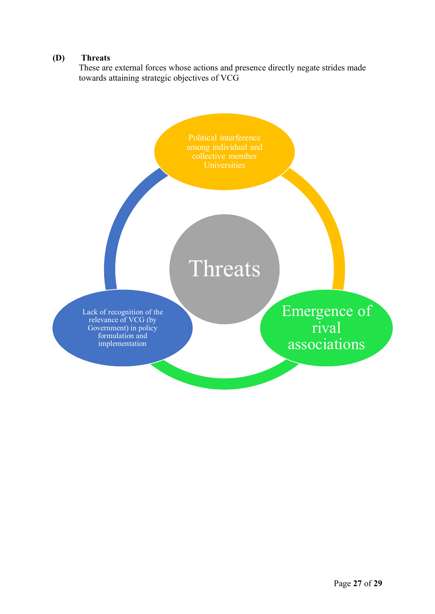#### **(D) Threats**

These are external forces whose actions and presence directly negate strides made towards attaining strategic objectives of VCG

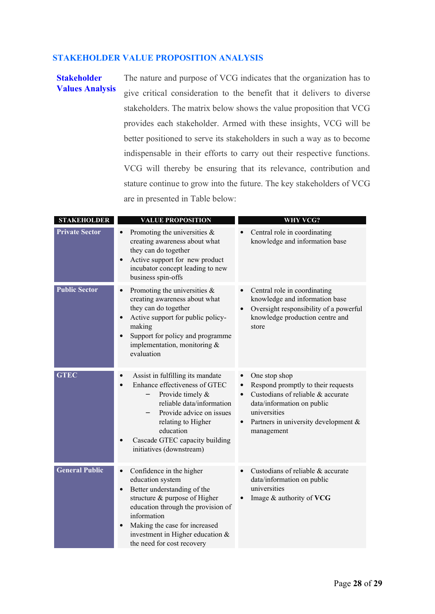#### **STAKEHOLDER VALUE PROPOSITION ANALYSIS**

#### **Stakeholder Values Analysis**

The nature and purpose of VCG indicates that the organization has to give critical consideration to the benefit that it delivers to diverse stakeholders. The matrix below shows the value proposition that VCG provides each stakeholder. Armed with these insights, VCG will be better positioned to serve its stakeholders in such a way as to become indispensable in their efforts to carry out their respective functions. VCG will thereby be ensuring that its relevance, contribution and stature continue to grow into the future. The key stakeholders of VCG are in presented in Table below:

| <b>STAKEHOLDER</b>    | <b>VALUE PROPOSITION</b>                                                                                                                                                                                                                                                                          | WHY VCG?                                                                                                                                                                                                     |
|-----------------------|---------------------------------------------------------------------------------------------------------------------------------------------------------------------------------------------------------------------------------------------------------------------------------------------------|--------------------------------------------------------------------------------------------------------------------------------------------------------------------------------------------------------------|
| <b>Private Sector</b> | Promoting the universities $\&$<br>creating awareness about what<br>they can do together<br>Active support for new product<br>incubator concept leading to new<br>business spin-offs                                                                                                              | Central role in coordinating<br>knowledge and information base                                                                                                                                               |
| <b>Public Sector</b>  | Promoting the universities $\&$<br>$\bullet$<br>creating awareness about what<br>they can do together<br>Active support for public policy-<br>making<br>Support for policy and programme<br>implementation, monitoring &<br>evaluation                                                            | Central role in coordinating<br>knowledge and information base<br>Oversight responsibility of a powerful<br>knowledge production centre and<br>store                                                         |
| <b>GTEC</b>           | Assist in fulfilling its mandate<br>$\bullet$<br>Enhance effectiveness of GTEC<br>Provide timely &<br>—<br>reliable data/information<br>Provide advice on issues<br>relating to Higher<br>education<br>Cascade GTEC capacity building<br>initiatives (downstream)                                 | One stop shop<br>$\bullet$<br>Respond promptly to their requests<br>Custodians of reliable & accurate<br>data/information on public<br>universities<br>Partners in university development $\&$<br>management |
| <b>General Public</b> | Confidence in the higher<br>$\bullet$<br>education system<br>Better understanding of the<br>$\bullet$<br>structure & purpose of Higher<br>education through the provision of<br>information<br>Making the case for increased<br>investment in Higher education $\&$<br>the need for cost recovery | Custodians of reliable & accurate<br>data/information on public<br>universities<br>Image & authority of VCG                                                                                                  |